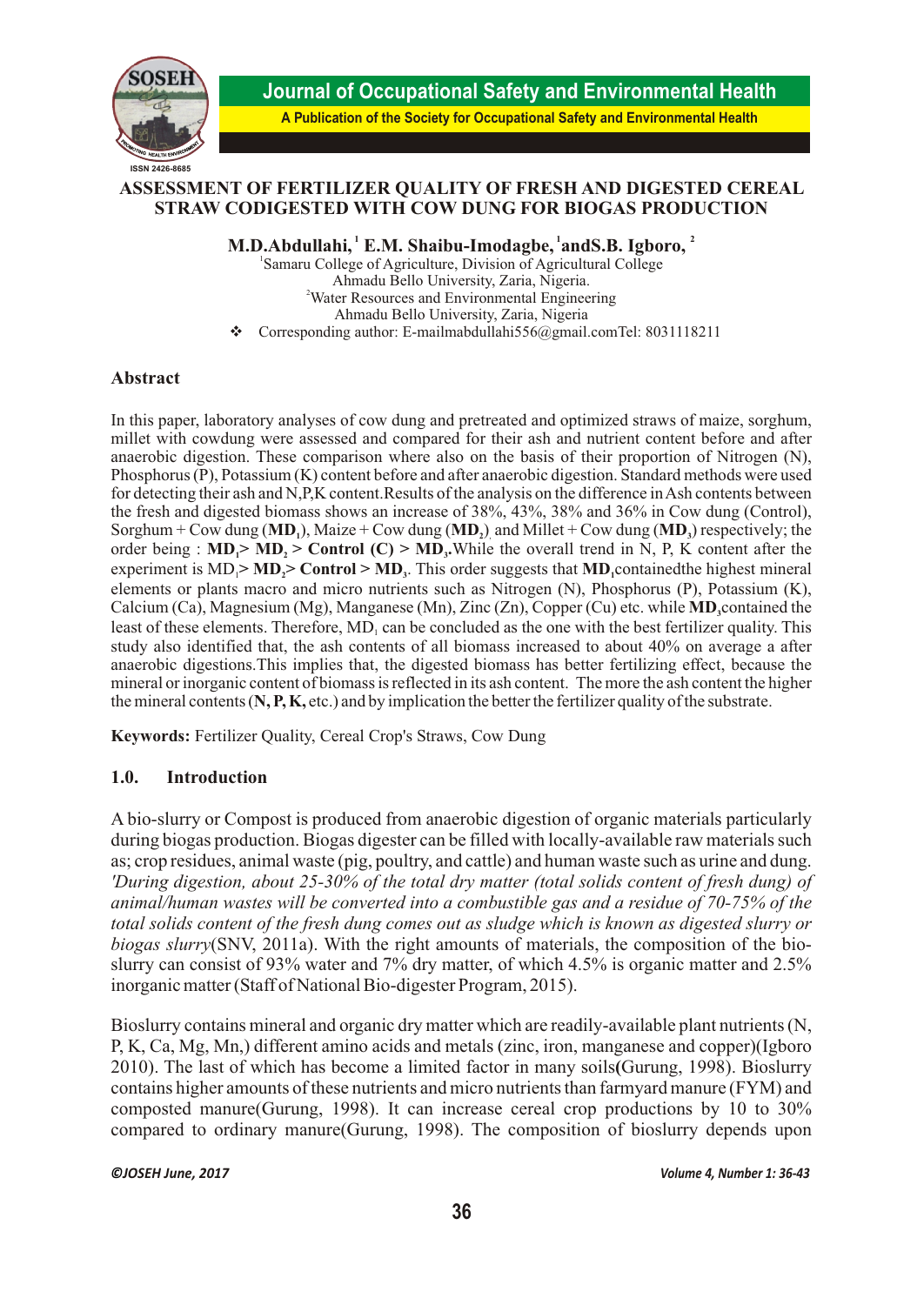

**Journal of Occupational Safety and Environmental Health**

**A Publication of the Society for Occupational Safety and Environmental Health**

## **ASSESSMENT OF FERTILIZER QUALITY OF FRESH AND DIGESTED CEREAL STRAW CODIGESTED WITH COW DUNG FOR BIOGAS PRODUCTION**

 **1 1 <sup>2</sup> M.D.Abdullahi, E.M. Shaibu-Imodagbe, andS.B. Igboro,** 

1 Samaru College of Agriculture, Division of Agricultural College Ahmadu Bello University, Zaria, Nigeria. <sup>2</sup>Water Resources and Environmental Engineering Ahmadu Bello University, Zaria, Nigeria  $\bullet$  Corresponding author: E-mailmabdullahi556@gmail.comTel: 8031118211

## **Abstract**

In this paper, laboratory analyses of cow dung and pretreated and optimized straws of maize, sorghum, millet with cowdung were assessed and compared for their ash and nutrient content before and after anaerobic digestion. These comparison where also on the basis of their proportion of Nitrogen (N), Phosphorus (P), Potassium (K) content before and after anaerobic digestion. Standard methods were used for detecting their ash and N,P,K content.Results of the analysis on the difference in Ash contents between the fresh and digested biomass shows an increase of 38%, 43%, 38% and 36% in Cow dung (Control), Sorghum + Cow dung  $(MD_1)$ , Maize + Cow dung  $(MD_2)$  and Millet + Cow dung  $(MD_3)$  respectively; the order being :  $MD_1 > MD_2 > Control$  (C) >  $MD_3$ . While the overall trend in N, P, K content after the experiment is  $MD$   $>$   $MD$  $>$   $Control$   $>$   $MD$ . This order suggests that  $MD$  contained the highest mineral elements or plants macro and micro nutrients such as Nitrogen (N), Phosphorus (P), Potassium (K), Calcium (Ca), Magnesium (Mg), Manganese (Mn), Zinc (Zn), Copper (Cu) etc. while **MD** contained the **<sup>3</sup>** least of these elements. Therefore, MD<sub>1</sub> can be concluded as the one with the best fertilizer quality. This study also identified that, the ash contents of all biomass increased to about 40% on average a after anaerobic digestions.This implies that, the digested biomass has better fertilizing effect, because the mineral or inorganic content of biomass is reflected in its ash content. The more the ash content the higher the mineral contents (**N, P, K,** etc.) and by implication the better the fertilizer quality of the substrate.

**Keywords:** Fertilizer Quality, Cereal Crop's Straws, Cow Dung

## **1.0. Introduction**

A bio-slurry or Compost is produced from anaerobic digestion of organic materials particularly during biogas production. Biogas digester can be filled with locally-available raw materials such as; crop residues, animal waste (pig, poultry, and cattle) and human waste such as urine and dung. *'During digestion, about 25-30% of the total dry matter (total solids content of fresh dung) of animal/human wastes will be converted into a combustible gas and a residue of 70-75% of the total solids content of the fresh dung comes out as sludge which is known as digested slurry or biogas slurry*(SNV, 2011a). With the right amounts of materials, the composition of the bioslurry can consist of 93% water and 7% dry matter, of which 4.5% is organic matter and 2.5% inorganic matter (Staff of National Bio-digester Program, 2015).

Bioslurry contains mineral and organic dry matter which are readily-available plant nutrients (N, P, K, Ca, Mg, Mn,) different amino acids and metals (zinc, iron, manganese and copper)(Igboro 2010). The last of which has become a limited factor in many soils**(**Gurung, 1998). Bioslurry contains higher amounts of these nutrients and micro nutrients than farmyard manure (FYM) and composted manure(Gurung, 1998). It can increase cereal crop productions by 10 to 30% compared to ordinary manure(Gurung, 1998). The composition of bioslurry depends upon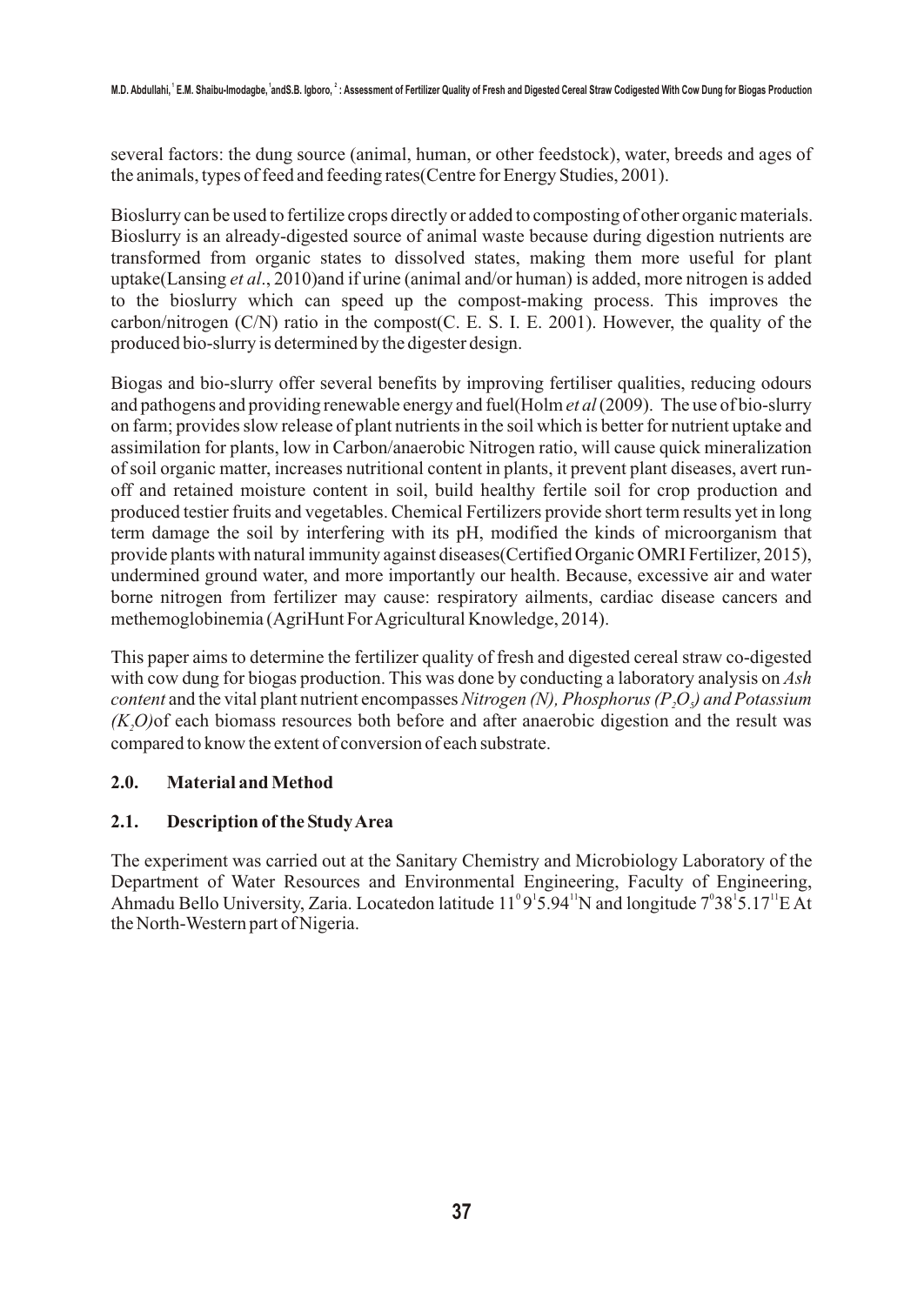several factors: the dung source (animal, human, or other feedstock), water, breeds and ages of the animals, types of feed and feeding rates(Centre for Energy Studies, 2001).

Bioslurry can be used to fertilize crops directly or added to composting of other organic materials. Bioslurry is an already-digested source of animal waste because during digestion nutrients are transformed from organic states to dissolved states, making them more useful for plant uptake(Lansing *et al*., 2010)and if urine (animal and/or human) is added, more nitrogen is added to the bioslurry which can speed up the compost-making process. This improves the carbon/nitrogen (C/N) ratio in the compost(C. E. S. I. E. 2001). However, the quality of the produced bio-slurry is determined by the digester design.

Biogas and bio-slurry offer several benefits by improving fertiliser qualities, reducing odours and pathogens and providing renewable energy and fuel(Holm *et al* (2009). The use of bio-slurry on farm; provides slow release of plant nutrients in the soil which is better for nutrient uptake and assimilation for plants, low in Carbon/anaerobic Nitrogen ratio, will cause quick mineralization of soil organic matter, increases nutritional content in plants, it prevent plant diseases, avert runoff and retained moisture content in soil, build healthy fertile soil for crop production and produced testier fruits and vegetables. Chemical Fertilizers provide short term results yet in long term damage the soil by interfering with its pH, modified the kinds of microorganism that provide plants with natural immunity against diseases(Certified Organic OMRI Fertilizer, 2015), undermined ground water, and more importantly our health. Because, excessive air and water borne nitrogen from fertilizer may cause: respiratory ailments, cardiac disease cancers and methemoglobinemia (AgriHunt For Agricultural Knowledge, 2014).

This paper aims to determine the fertilizer quality of fresh and digested cereal straw co-digested with cow dung for biogas production. This was done by conducting a laboratory analysis on *Ash content* and the vital plant nutrient encompasses *Nitrogen (N), Phosphorus (P<sub>2</sub>O<sub>2</sub>) and Potassium (K O)*of each biomass resources both before and after anaerobic digestion and the result was *<sup>2</sup>* compared to know the extent of conversion of each substrate.

## **2.0. Material and Method**

# **2.1. Description of the Study Area**

The experiment was carried out at the Sanitary Chemistry and Microbiology Laboratory of the Department of Water Resources and Environmental Engineering, Faculty of Engineering, Ahmadu Bello University, Zaria. Locatedon latitude  $11^{\circ}9^{\prime}5.94^{\prime}$  N and longitude  $7^{\circ}38^{\prime}5.17^{\prime}$  E At the North-Western part of Nigeria.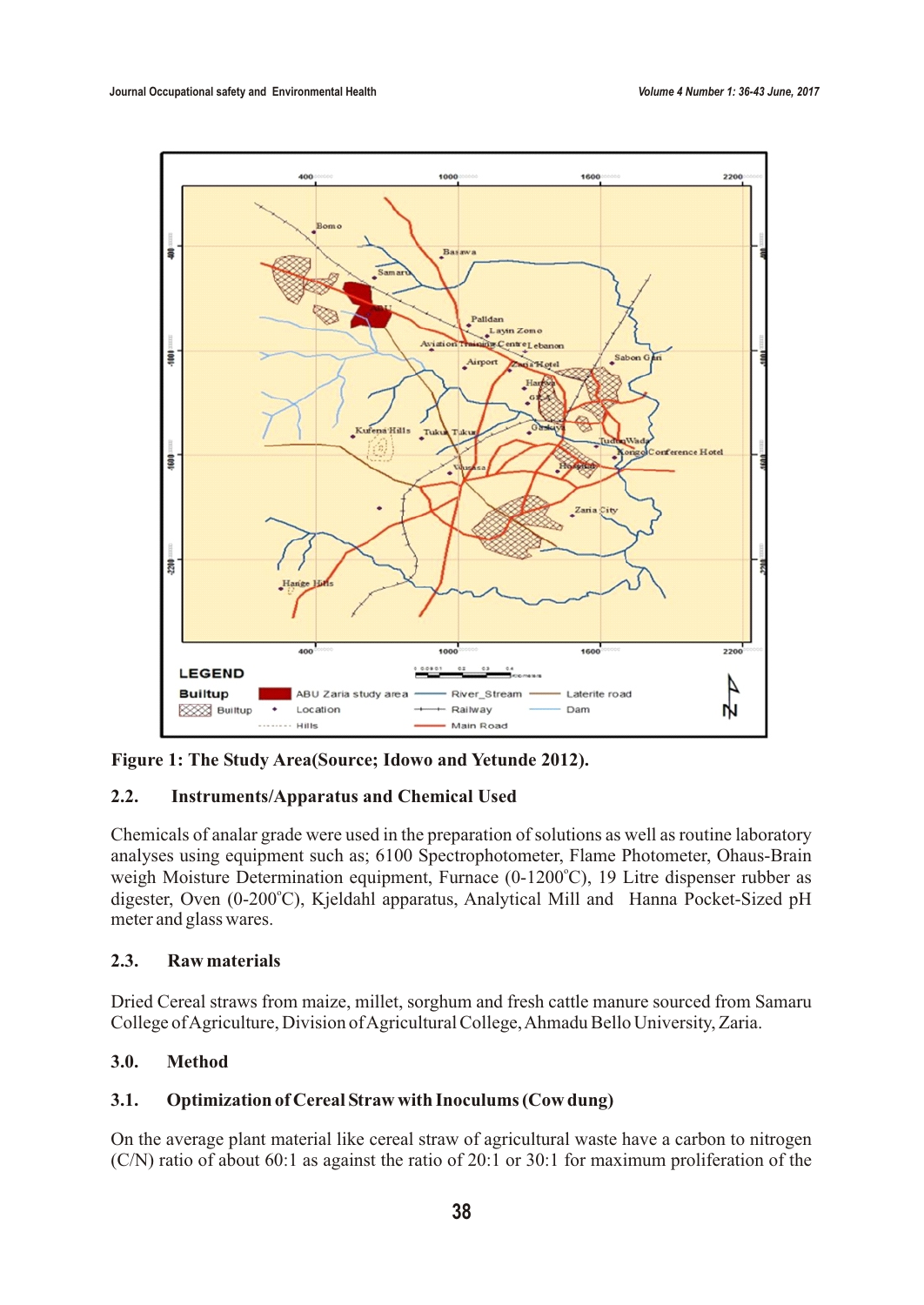

**Figure 1: The Study Area(Source; Idowo and Yetunde 2012).** 

# **2.2. Instruments/Apparatus and Chemical Used**

Chemicals of analar grade were used in the preparation of solutions as well as routine laboratory analyses using equipment such as; 6100 Spectrophotometer, Flame Photometer, Ohaus-Brain weigh Moisture Determination equipment, Furnace (0-1200°C), 19 Litre dispenser rubber as digester, Oven (0-200°C), Kjeldahl apparatus, Analytical Mill and Hanna Pocket-Sized pH meter and glass wares.

# **2.3. Raw materials**

Dried Cereal straws from maize, millet, sorghum and fresh cattle manure sourced from Samaru College of Agriculture, Division of Agricultural College, Ahmadu Bello University, Zaria.

# **3.0. Method**

# **3.1. Optimization of Cereal Straw with Inoculums (Cow dung)**

On the average plant material like cereal straw of agricultural waste have a carbon to nitrogen (C/N) ratio of about 60:1 as against the ratio of 20:1 or 30:1 for maximum proliferation of the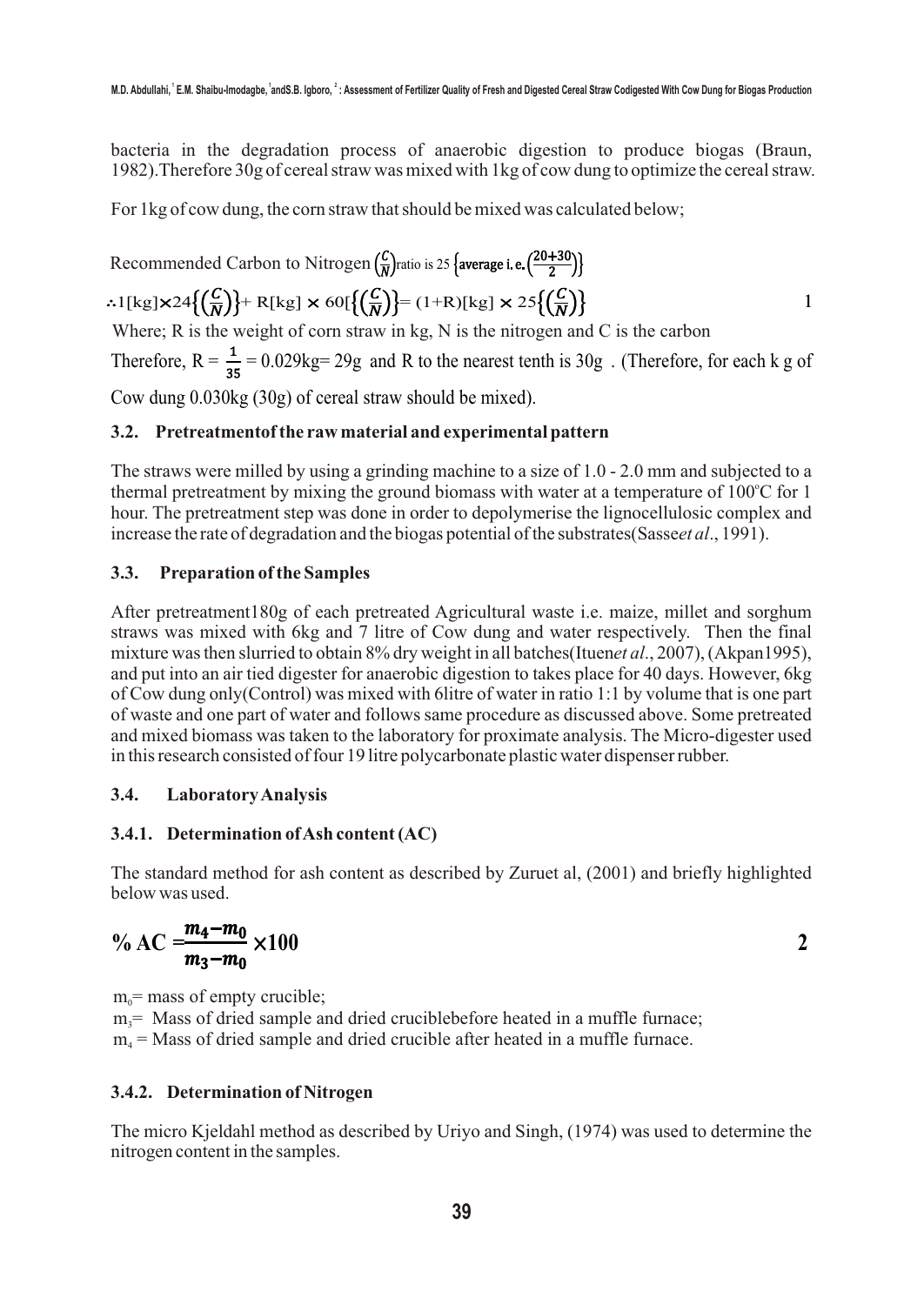bacteria in the degradation process of anaerobic digestion to produce biogas (Braun, 1982).Therefore 30g of cereal straw was mixed with 1kg of cow dung to optimize the cereal straw.

For 1kg of cow dung, the corn straw that should be mixed was calculated below;

Recommended Carbon to Nitrogen 
$$
\left(\frac{C}{N}\right)
$$
 ratio is 25 **{average i.e.**  $\left(\frac{20+30}{2}\right)$ }

\n••1  $[kg] \times 24 \left\{ \left(\frac{C}{N}\right)\right\} + R[kg] \times 60 \left\{ \left(\frac{C}{N}\right)\right\} = (1+R)[kg] \times 25 \left\{ \left(\frac{C}{N}\right)\right\}$ 

\nWhere; R is the weight of corn straw in kg, N is the nitrogen and C is the carbon

Therefore,  $R = \frac{1}{25} = 0.029$ kg= 29g and R to the nearest tenth is 30g. (Therefore, for each k g of

Cow dung 0.030kg (30g) of cereal straw should be mixed).

## **3.2. Pretreatmentof the raw material and experimental pattern**

The straws were milled by using a grinding machine to a size of 1.0 - 2.0 mm and subjected to a thermal pretreatment by mixing the ground biomass with water at a temperature of 100°C for 1 hour. The pretreatment step was done in order to depolymerise the lignocellulosic complex and increase the rate of degradation and the biogas potential of the substrates(Sasse*et al*., 1991).

#### **3.3. Preparation of the Samples**

After pretreatment180g of each pretreated Agricultural waste i.e. maize, millet and sorghum straws was mixed with 6kg and 7 litre of Cow dung and water respectively. Then the final mixture was then slurried to obtain 8% dry weight in all batches(Ituen*et al*., 2007), (Akpan1995), and put into an air tied digester for anaerobic digestion to takes place for 40 days. However, 6kg of Cow dung only(Control) was mixed with 6litre of water in ratio 1:1 by volume that is one part of waste and one part of water and follows same procedure as discussed above. Some pretreated and mixed biomass was taken to the laboratory for proximate analysis. The Micro-digester used in this research consisted of four 19 litre polycarbonate plastic water dispenser rubber.

#### **3.4. Laboratory Analysis**

## **3.4.1. Determination of Ash content (AC)**

The standard method for ash content as described by Zuruet al, (2001) and briefly highlighted below was used.

$$
\% AC = \frac{m_4 - m_0}{m_3 - m_0} \times 100
$$

 $m<sub>o</sub>=$  mass of empty crucible;  $m<sub>i</sub>$  Mass of dried sample and dried cruciblebefore heated in a muffle furnace;  $m<sub>a</sub>$  = Mass of dried sample and dried crucible after heated in a muffle furnace.

#### **3.4.2. Determination of Nitrogen**

The micro Kjeldahl method as described by Uriyo and Singh, (1974) was used to determine the nitrogen content in the samples.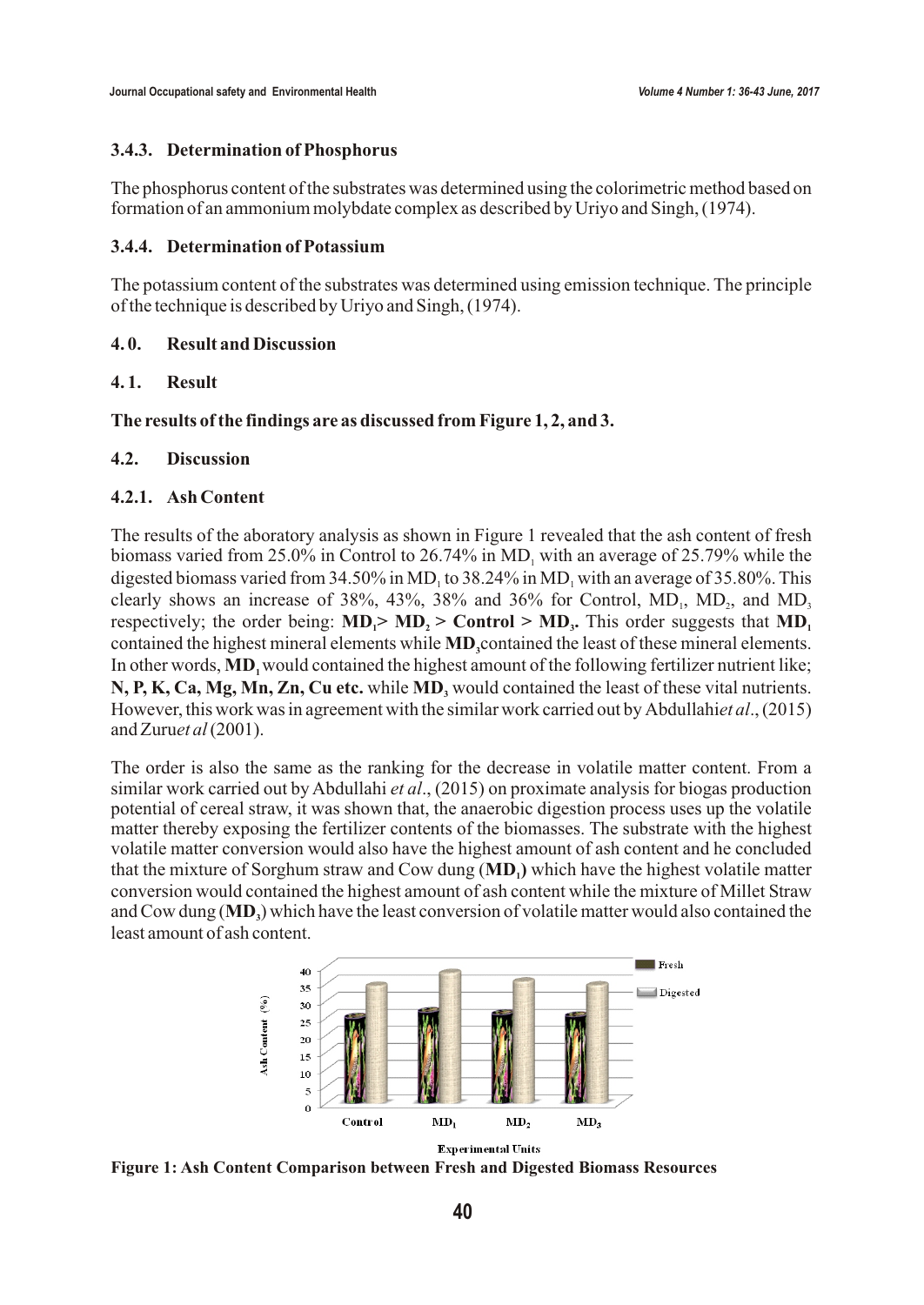#### **3.4.3. Determination of Phosphorus**

The phosphorus content of the substrates was determined using the colorimetric method based on formation of an ammonium molybdate complex as described by Uriyo and Singh, (1974).

### **3.4.4. Determination of Potassium**

The potassium content of the substrates was determined using emission technique. The principle of the technique is described by Uriyo and Singh, (1974).

### **4. 0. Result and Discussion**

### **4. 1. Result**

### **The results of the findings are as discussed from Figure 1, 2, and 3.**

### **4.2. Discussion**

### **4.2.1. Ash Content**

The results of the aboratory analysis as shown in Figure 1 revealed that the ash content of fresh biomass varied from  $25.0\%$  in Control to  $26.74\%$  in MD, with an average of  $25.79\%$  while the digested biomass varied from  $34.50\%$  in MD<sub>1</sub> to  $38.24\%$  in MD<sub>1</sub> with an average of  $35.80\%$ . This clearly shows an increase of 38%, 43%, 38% and 36% for Control,  $MD_1$ ,  $MD_2$ , and  $MD_3$ respectively; the order being:  $MD_1 > MD_2 > Com(rol) > MD_3$ . This order suggests that  $MD_1$ contained the highest mineral elements while **MD**, contained the least of these mineral elements. In other words, **MD**<sub>1</sub> would contained the highest amount of the following fertilizer nutrient like; **N, P, K, Ca, Mg, Mn, Zn, Cu etc.** while **MD**, would contained the least of these vital nutrients. However, this work was in agreement with the similar work carried out by Abdullahi*et al*., (2015) and Zuru*et al* (2001).

The order is also the same as the ranking for the decrease in volatile matter content. From a similar work carried out by Abdullahi *et al*., (2015) on proximate analysis for biogas production potential of cereal straw, it was shown that, the anaerobic digestion process uses up the volatile matter thereby exposing the fertilizer contents of the biomasses. The substrate with the highest volatile matter conversion would also have the highest amount of ash content and he concluded that the mixture of Sorghum straw and Cow dung (MD<sub>1</sub>) which have the highest volatile matter conversion would contained the highest amount of ash content while the mixture of Millet Straw and Cow dung (**MD**<sub>2</sub>) which have the least conversion of volatile matter would also contained the least amount of ash content.



**Experimental Units** 

**Figure 1: Ash Content Comparison between Fresh and Digested Biomass Resources**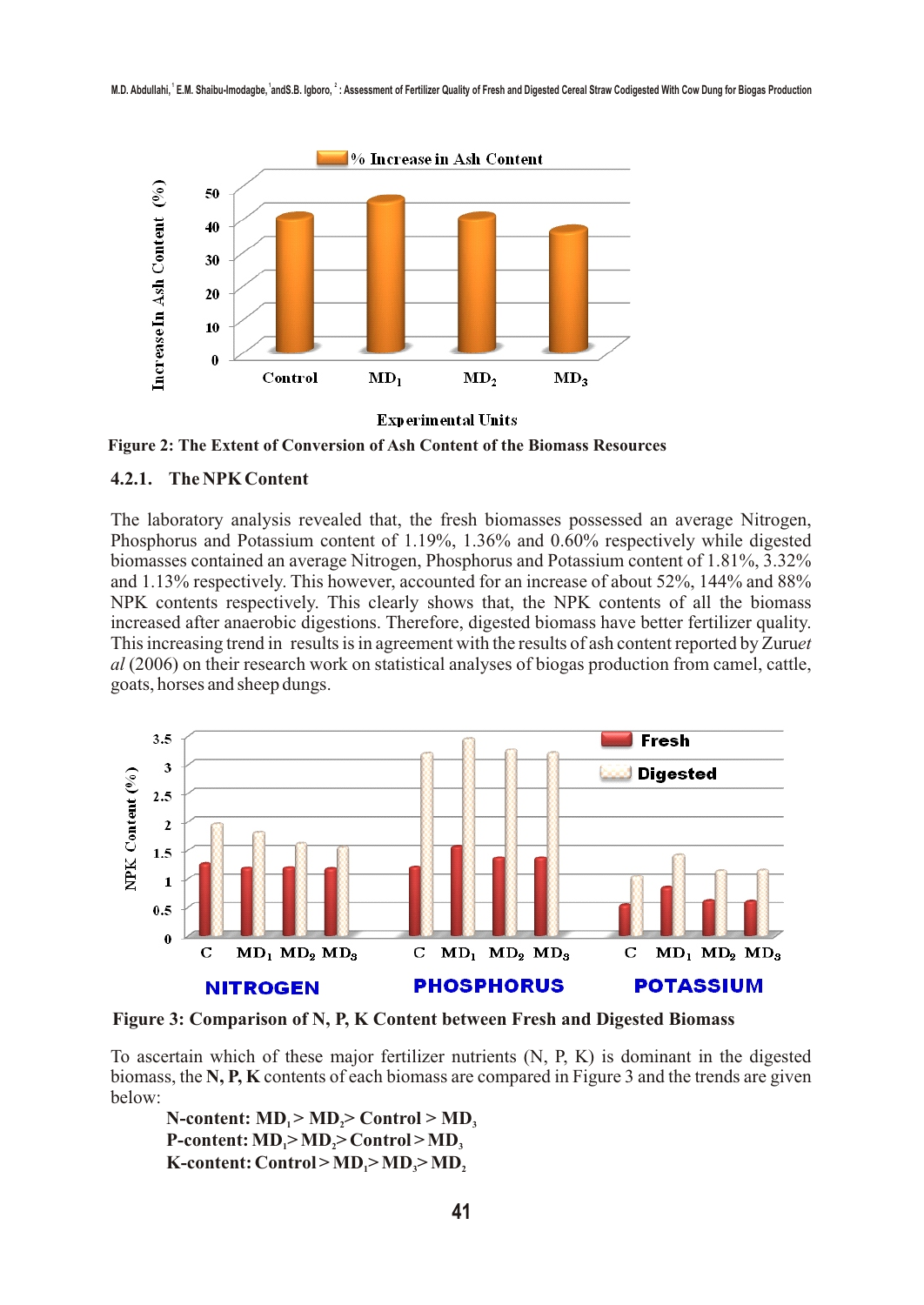

 **Figure 2: The Extent of Conversion of Ash Content of the Biomass Resources**

#### **4.2.1. The NPK Content**

The laboratory analysis revealed that, the fresh biomasses possessed an average Nitrogen, Phosphorus and Potassium content of 1.19%, 1.36% and 0.60% respectively while digested biomasses contained an average Nitrogen, Phosphorus and Potassium content of 1.81%, 3.32% and 1.13% respectively. This however, accounted for an increase of about 52%, 144% and 88% NPK contents respectively. This clearly shows that, the NPK contents of all the biomass increased after anaerobic digestions. Therefore, digested biomass have better fertilizer quality. This increasing trend in results is in agreement with the results of ash content reported by Zuru*et al* (2006) on their research work on statistical analyses of biogas production from camel, cattle, goats, horses and sheep dungs.



**Figure 3: Comparison of N, P, K Content between Fresh and Digested Biomass**

To ascertain which of these major fertilizer nutrients (N, P, K) is dominant in the digested biomass, the **N, P, K** contents of each biomass are compared in Figure 3 and the trends are given below:

 $N$ **-content:**  $MD_1 > MD_2 > Control > MD_3$  $P$ **-content:**  $MD_1 > MD_2 > Control > MD_3$  $K$ -content: Control >  $MD_1$ >  $MD_2$ >  $MD_3$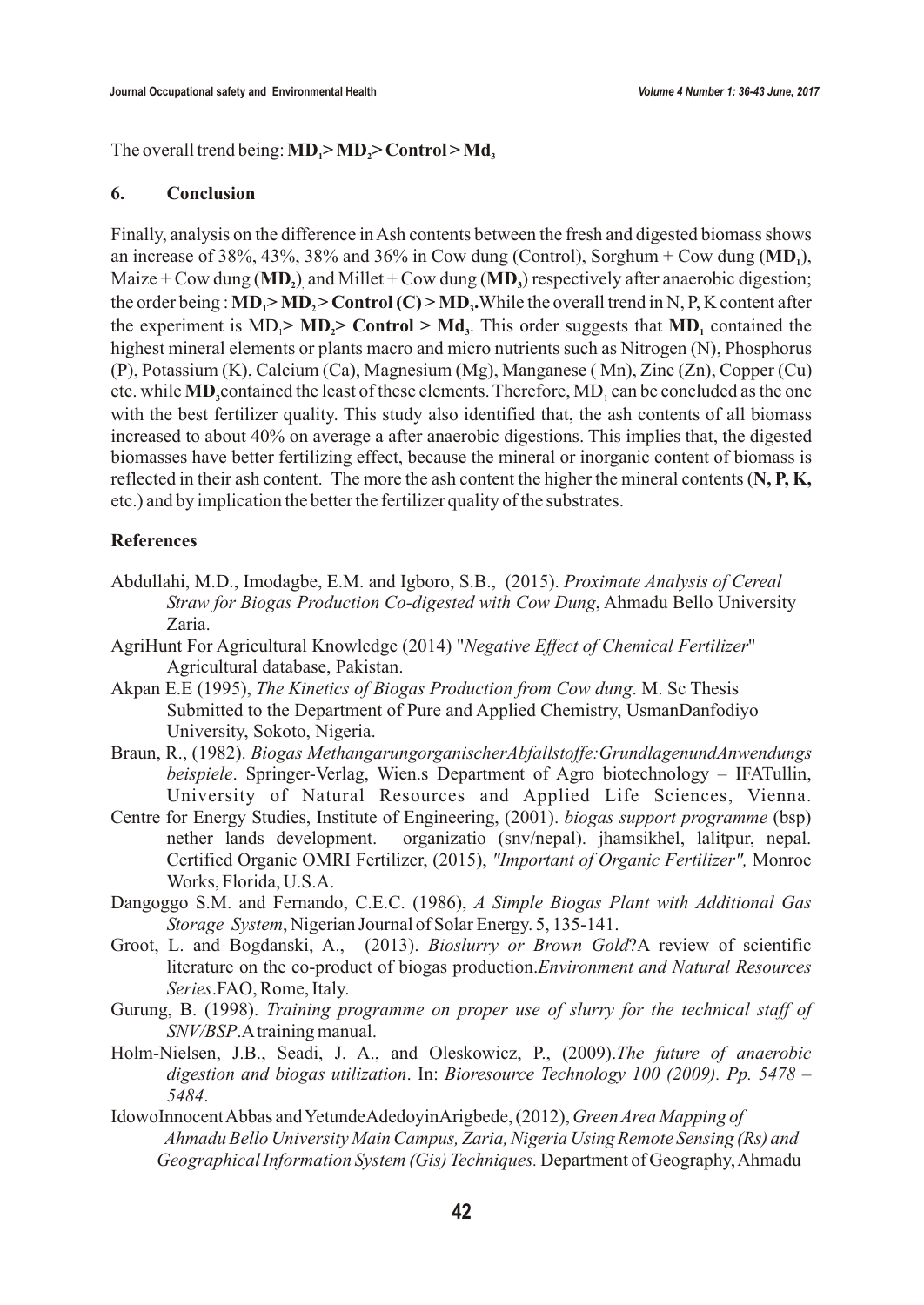The overall trend being:  $MD_1 > MD_2 > Control > Md_3$ 

#### **6. Conclusion**

Finally, analysis on the difference in Ash contents between the fresh and digested biomass shows an increase of 38%, 43%, 38% and 36% in Cow dung (Control), Sorghum + Cow dung  $(MD_1)$ , Maize + Cow dung (**MD**,) and Millet + Cow dung (**MD**) respectively after anaerobic digestion; the order being :  $MD_1 > MD_2 > Control(C) > MD_3$ . While the overall trend in N, P, K content after the experiment is  $MD_1 > MD_2 > Control > Md_3$ . This order suggests that  $MD_1$  contained the highest mineral elements or plants macro and micro nutrients such as Nitrogen (N), Phosphorus (P), Potassium (K), Calcium (Ca), Magnesium (Mg), Manganese ( Mn), Zinc (Zn), Copper (Cu) etc. while **MD**, contained the least of these elements. Therefore, MD<sub>1</sub> can be concluded as the one with the best fertilizer quality. This study also identified that, the ash contents of all biomass increased to about 40% on average a after anaerobic digestions. This implies that, the digested biomasses have better fertilizing effect, because the mineral or inorganic content of biomass is reflected in their ash content. The more the ash content the higher the mineral contents (**N, P, K,** etc.) and by implication the better the fertilizer quality of the substrates.

## **References**

- Abdullahi, M.D., Imodagbe, E.M. and Igboro, S.B., (2015). *Proximate Analysis of Cereal Straw for Biogas Production Co-digested with Cow Dung*, Ahmadu Bello University Zaria.
- AgriHunt For Agricultural Knowledge (2014) "*Negative Effect of Chemical Fertilizer*" Agricultural database, Pakistan.
- Akpan E.E (1995), *The Kinetics of Biogas Production from Cow dung*. M. Sc Thesis Submitted to the Department of Pure and Applied Chemistry, UsmanDanfodiyo University, Sokoto, Nigeria.
- Braun, R., (1982). *Biogas MethangarungorganischerAbfallstoffe:GrundlagenundAnwendungs beispiele*. Springer-Verlag, Wien.s Department of Agro biotechnology – IFATullin, University of Natural Resources and Applied Life Sciences, Vienna.
- Centre for Energy Studies, Institute of Engineering, (2001). *biogas support programme* (bsp) nether lands development. organizatio (snv/nepal). jhamsikhel, lalitpur, nepal. Certified Organic OMRI Fertilizer, (2015), *"Important of Organic Fertilizer",* Monroe Works, Florida, U.S.A.
- Dangoggo S.M. and Fernando, C.E.C. (1986), *A Simple Biogas Plant with Additional Gas Storage System*, Nigerian Journal of Solar Energy. 5, 135-141.
- Groot, L. and Bogdanski, A., (2013). *Bioslurry or Brown Gold*?A review of scientific literature on the co-product of biogas production.*Environment and Natural Resources Series*.FAO, Rome, Italy.
- Gurung, B. (1998). *Training programme on proper use of slurry for the technical staff of SNV/BSP*.A training manual.
- Holm-Nielsen, J.B., Seadi, J. A., and Oleskowicz, P., (2009).*The future of anaerobic digestion and biogas utilization*. In: *Bioresource Technology 100 (2009). Pp. 5478 – 5484*.
- IdowoInnocent Abbas and YetundeAdedoyinArigbede, (2012), *Green Area Mapping of Ahmadu Bello University Main Campus, Zaria, Nigeria Using Remote Sensing (Rs) and Geographical Information System (Gis) Techniques.* Department of Geography, Ahmadu